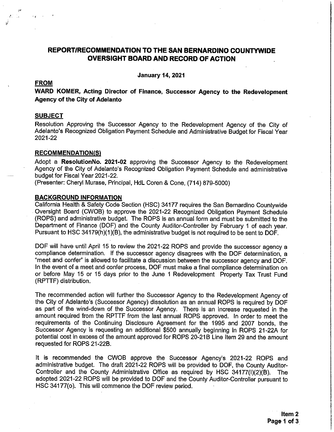# REPORT/RECOMMENDATION TO THE SAN BERNARDINO COUNTYWIDE **OVERSIGHT BOARD AND RECORD OF ACTION**

**January 14, 2021** 

## **FROM**

WARD KOMER, Acting Director of Finance, Successor Agency to the Redevelopment **Agency of the City of Adelanto** 

#### **SUBJECT**

Resolution Approving the Successor Agency to the Redevelopment Agency of the City of Adelanto's Recognized Obligation Payment Schedule and Administrative Budget for Fiscal Year 2021-22

## **RECOMMENDATION(S)**

Adopt a ResolutionNo. 2021-02 approving the Successor Agency to the Redevelopment Agency of the City of Adelanto's Recognized Obligation Payment Schedule and administrative budget for Fiscal Year 2021-22.

(Presenter: Cheryl Murase, Principal, HdL Coren & Cone, (714) 879-5000)

## **BACKGROUND INFORMATION**

California Health & Safety Code Section (HSC) 34177 requires the San Bernardino Countywide Oversight Board (CWOB) to approve the 2021-22 Recognized Obligation Payment Schedule (ROPS) and administrative budget. The ROPS is an annual form and must be submitted to the Department of Finance (DOF) and the County Auditor-Controller by February 1 of each year. Pursuant to HSC 34179(h)(1)(B), the administrative budget is not required to be sent to DOF.

DOF will have until April 15 to review the 2021-22 ROPS and provide the successor agency a compliance determination. If the successor agency disagrees with the DOF determination, a "meet and confer" is allowed to facilitate a discussion between the successor agency and DOF. In the event of a meet and confer process, DOF must make a final compliance determination on or before May 15 or 15 days prior to the June 1 Redevelopment Property Tax Trust Fund (RPTTF) distribution.

The recommended action will further the Successor Agency to the Redevelopment Agency of the City of Adelanto's (Successor Agency) dissolution as an annual ROPS is required by DOF as part of the wind-down of the Successor Agency. There is an increase requested in the amount required from the RPTTF from the last annual ROPS approved. In order to meet the requirements of the Continuing Disclosure Agreement for the 1995 and 2007 bonds, the Successor Agency is requesting an additional \$500 annually beginning in ROPS 21-22A for potential cost in excess of the amount approved for ROPS 20-21B Line Item 29 and the amount requested for ROPS 21-22B.

It is recommended the CWOB approve the Successor Agency's 2021-22 ROPS and administrative budget. The draft 2021-22 ROPS will be provided to DOF, the County Auditor-Controller and the County Administrative Office as required by HSC 34177(I)(2)(B). The adopted 2021-22 ROPS will be provided to DOF and the County Auditor-Controller pursuant to HSC 34177(o). This will commence the DOF review period.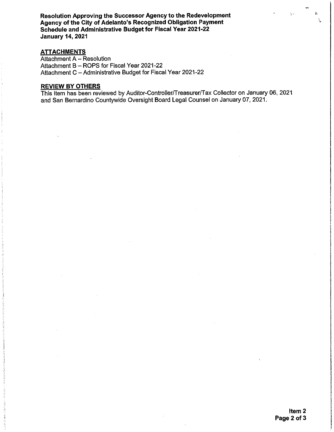Resolution Approving the Successor Agency to the Redevelopment Agency of the City of Adelanto's Recognized Obligation Payment Schedule and Administrative Budget for Fiscal Year 2021-22 **January 14, 2021** 

# **ATTACHMENTS**

Attachment A - Resolution Attachment B - ROPS for Fiscal Year 2021-22 Attachment C - Administrative Budget for Fiscal Year 2021-22

## **REVIEW BY OTHERS**

This item has been reviewed by Auditor-Controller/Treasurer/Tax Collector on January 06, 2021 and San Bernardino Countywide Oversight Board Legal Counsel on January 07, 2021.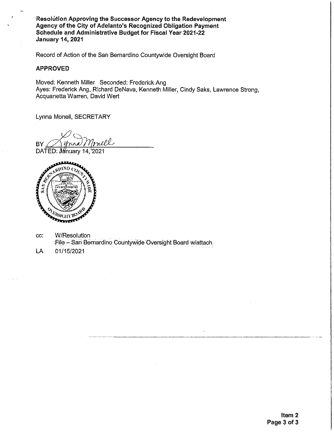Resolution Approving the Successor Agency to the Redevelopment Agency of the City of Adelanto's Recognized Obligation Payment Schedule and Administrative Budget for Fiscal Year 2021-22 **January 14, 2021** 

Record of Action of the San Bernardino Countywide Oversight Board

## **APPROVED**

Moved: Kenneth Miller Seconded: Frederick Ang Ayes: Frederick Ang, Richard DeNava, Kenneth Miller, Cindy Saks, Lawrence Strong, Acquanetta Warren, David Wert

Lynna Monell, SECRETARY

nell BY DATED: Jánuary 14, 2021



CC: W/Resolution File - San Bernardino Countywide Oversight Board w/attach

LA 01/15/2021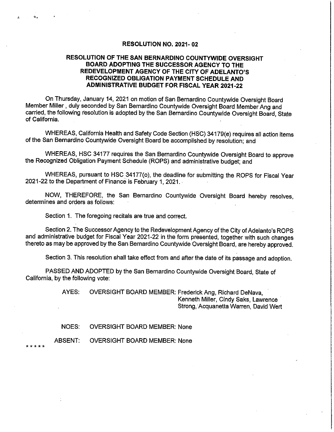#### **RESOLUTION NO. 2021-02**

## RESOLUTION OF THE SAN BERNARDINO COUNTYWIDE OVERSIGHT BOARD ADOPTING THE SUCCESSOR AGENCY TO THE REDEVELOPMENT AGENCY OF THE CITY OF ADELANTO'S RECOGNIZED OBLIGATION PAYMENT SCHEDULE AND **ADMINISTRATIVE BUDGET FOR FISCAL YEAR 2021-22**

On Thursday, January 14, 2021 on motion of San Bernardino Countywide Oversight Board Member Miller, duly seconded by San Bernardino Countywide Oversight Board Member Ang and carried, the following resolution is adopted by the San Bernardino Countywide Oversight Board, State of California.

WHEREAS, California Health and Safety Code Section (HSC) 34179(e) requires all action items of the San Bernardino Countywide Oversight Board be accomplished by resolution; and

WHEREAS. HSC 34177 requires the San Bernardino Countywide Oversight Board to approve the Recognized Obligation Payment Schedule (ROPS) and administrative budget; and

WHEREAS, pursuant to HSC 34177(o), the deadline for submitting the ROPS for Fiscal Year 2021-22 to the Department of Finance is February 1, 2021.

NOW, THEREFORE, the San Bernardino Countywide Oversight Board hereby resolves, determines and orders as follows:

Section 1. The foregoing recitals are true and correct.

Section 2. The Successor Agency to the Redevelopment Agency of the City of Adelanto's ROPS and administrative budget for Fiscal Year 2021-22 in the form presented, together with such changes thereto as may be approved by the San Bernardino Countywide Oversight Board, are hereby approved.

Section 3. This resolution shall take effect from and after the date of its passage and adoption.

PASSED AND ADOPTED by the San Bernardino Countywide Oversight Board, State of California, by the following vote:

> AYES: OVERSIGHT BOARD MEMBER: Frederick Ang, Richard DeNava, Kenneth Miller, Cindy Saks, Lawrence Strong, Acquanetta Warren, David Wert

NOES: **OVERSIGHT BOARD MEMBER: None** 

**ABSENT: OVERSIGHT BOARD MEMBER: None** 

a.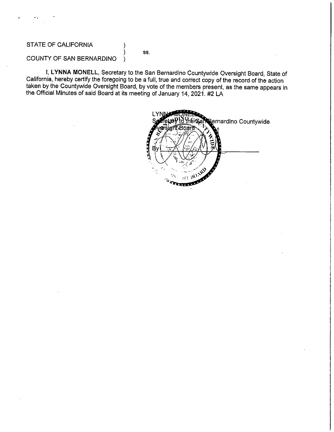# STATE OF CALIFORNIA

#### SS.

#### COUNTY OF SAN BERNARDINO  $\lambda$

I, LYNNA MONELL, Secretary to the San Bernardino Countywide Oversight Board, State of California, hereby certify the foregoing to be a full, true and correct copy of the record of the action taken by the Countywide Oversight Board, by vote of the members present, as the same appears in the Official Minutes of said Board at its meeting of January 14, 2021. #2 LA

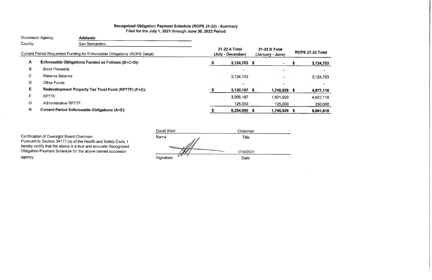# Recognized Obligation Payment Schedule (ROPS 21-22) - Summary Filed for the July 1, 2021 through June 30, 2022 Period

| Successor Agency: |                             | <b>Adelanto</b>                                                            |                                    |                |                                   |           |                   |               |
|-------------------|-----------------------------|----------------------------------------------------------------------------|------------------------------------|----------------|-----------------------------------|-----------|-------------------|---------------|
| County:           |                             | San Bernardino                                                             |                                    |                |                                   |           |                   |               |
|                   |                             | Current Period Requested Funding for Enforceable Obligations (ROPS Detail) | 21-22 A Total<br>(July - December) |                | 21-22 B Total<br>(January - June) |           | <b>ROPS 21-22</b> |               |
| $\mathbf{A}$      |                             | Enforceable Obligations Funded as Follows (B+C+D):                         |                                    | 3,124,703 \$   |                                   |           |                   | $\cdot 3,$    |
| в                 | <b>Bond Proceeds</b>        |                                                                            |                                    |                |                                   |           |                   |               |
| $\mathbf C$       | Reserve Balance             |                                                                            |                                    | 3,124,703      |                                   |           |                   | 3,            |
| D                 | <b>Other Funds</b>          |                                                                            |                                    |                |                                   |           |                   |               |
| E.                |                             | Redevelopment Property Tax Trust Fund (RPTTF) (F+G):                       |                                    | $3,130,187$ \$ |                                   | 1,746,929 |                   | $\mathbf{A},$ |
| F.                | <b>RPTTF</b>                |                                                                            |                                    | 3,005,187      |                                   | 1,621.929 |                   | 4,1           |
| G                 | <b>Administrative RPTTF</b> |                                                                            |                                    | 125,000        |                                   | 125,000   |                   |               |
| H                 |                             | <b>Current Period Enforceable Obligations (A+E):</b>                       |                                    | 6,254,890 \$   |                                   | 1,746.929 | ъ                 | $\mathbf{8}$  |

Certification of Oversight Board Chairman:

 $\sim$ 

Pursuant to Section 34177 (o) of the Health and Safety Code, I hereby certify that the above is a true and accurate Recognized Obligation Payment Schedule for the above named successor agency.

| David Wert | Chairman  |  |
|------------|-----------|--|
| Name       | Title     |  |
|            | 1/14/2021 |  |
| Signature  | Date      |  |

# **2 Total**

# 124,703

 $\frac{1}{2}$  ,  $\frac{1}{2}$  ,  $\frac{1}{2}$ 

124,703 12

# 877,116

,627,116

250,000

,001,819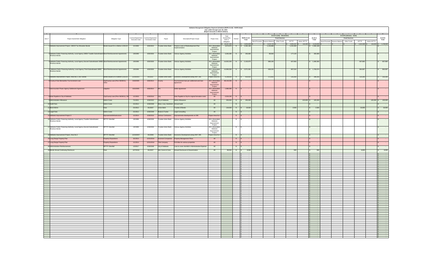| Adelanto Recognized Obligation Payment Schedule (ROPS 21-22) - ROPS Detail<br>July 1,2021 through June 30, 2022<br>(Report Amounts in Whole Dollars) |                                        |                                             |                                               |                                    |                                                         |                                                      |                                 |                |                                               |                                                       |                                   |                                                                       |                                                         |                                    |                                                               |
|------------------------------------------------------------------------------------------------------------------------------------------------------|----------------------------------------|---------------------------------------------|-----------------------------------------------|------------------------------------|---------------------------------------------------------|------------------------------------------------------|---------------------------------|----------------|-----------------------------------------------|-------------------------------------------------------|-----------------------------------|-----------------------------------------------------------------------|---------------------------------------------------------|------------------------------------|---------------------------------------------------------------|
| $\overline{A}$                                                                                                                                       |                                        |                                             |                                               |                                    |                                                         |                                                      |                                 |                |                                               | 21-22 A (July - December)                             |                                   |                                                                       | 21-22 B (January - June)                                |                                    |                                                               |
| <b>Project Name/Debt Obligation</b><br>Item#                                                                                                         | <b>Obligation Type</b>                 | Contract/Agreement<br><b>Execution Date</b> | Contract/Agreement<br><b>Termination Date</b> | Payee                              | <b>Description/Project Scope</b>                        | Project Area                                         | Total<br>Outstanding<br>Debt or | Retired        | <b>ROPS 21-22</b><br>Total                    | <b>Fund Sources</b>                                   |                                   | 21-22 A<br><b>Total</b>                                               | <b>Fund Sources</b>                                     |                                    | 21-22 B<br><b>Total</b>                                       |
|                                                                                                                                                      |                                        |                                             |                                               |                                    |                                                         |                                                      | Obligation                      |                |                                               | <b>Other Funds</b><br>Bond Proceeds   Reserve Balance | <b>RPTTF</b><br>Admin RPTTF       |                                                                       | Bond Proceeds   Reserve Balance  <br><b>Other Funds</b> | <b>RPTTF</b><br><b>Admin RPTTF</b> |                                                               |
| 1 Adelanto Improvement Project, 1993 B Tax Allocation Bonds                                                                                          | Bonds Issued On or Before 12/31/10     | 1/1/1993                                    | 6/30/2024                                     | <b>Trustee-Union Bank</b>          | inance costs of Redevelopment Plan<br>Implementation    | 80-1 (Amended)<br>Adelanto<br>Improvement<br>Project | 83,307,435<br>3,674,875         |                | 8,001,819<br>$\frac{1}{2}$ 2,360,188          | 3,124,703<br>1,135,888                                | 3,005,187<br>125.000<br>1,224,300 | 6,254,890<br>2,360,188                                                |                                                         | 1,621,929                          | $125,000$   \$ 1,746,929                                      |
| 2 Adelanto Public Financing Authority, Local Agency 1995A Taxable Subordinated Bond Reimbursement Agreements                                         |                                        | 1/9/1996                                    | 6/30/2026                                     | <b>Trustee-Union Bank</b>          | Various Agency Activities                               | 80-1 (Amended)                                       | 3,260,280                       |                | 265,680                                       | 88,560                                                | 177,120                           | 265,680                                                               |                                                         |                                    | $\mathcal{L}^{\mathcal{L}}$ and $\mathcal{L}^{\mathcal{L}}$ . |
| Revenue Bonds                                                                                                                                        |                                        |                                             |                                               |                                    |                                                         | Adelanto<br>Improvement<br>Project                   |                                 |                |                                               |                                                       |                                   |                                                                       |                                                         |                                    |                                                               |
| 3 Adelanto Public Financing Authority, Local Agency Second Subordinated 1995B Bond Reimbursement Agreements<br>Revenue Bonds                         |                                        | 1/9/1996                                    | 6/30/2026                                     | <b>Trustee-Union Bank</b>          | Various Agency Activities                               | 80-1 (Amended)<br>Adelanto<br>Improvement<br>Project | 14,002,200                      |                | \$2,103,975                                   | 888,190                                               | 607,893                           | \$1,496,083                                                           |                                                         | 607,892                            | 607,892                                                       |
| 4 Adelanto Public Financing Authority, Local Agency Third Subordinated 1995C Bond Reimbursement Agreements<br>Revenue Bonds                          |                                        | 1/9/1996                                    | 6/30/2026                                     | <b>Trustee-Union Bank</b>          | Various Agency Activities                               | 80-1 (Amended)<br>Adelanto<br>Improvement<br>Project | 14,999,359                      |                | \$2,571,361                                   | 839,150                                               | 867,524                           | \$ 1,706,674                                                          |                                                         | 864,687                            | 864,687                                                       |
| 5 Adelanto Improvement Project, Area No.3. 2007 Bonds                                                                                                | Bonds Issued On or Before 12/31/10     | 12/19/2007                                  | 9/1/2037                                      | <b>Trustee-Union Bank</b>          | conomic Development along HWY 395                       | Project Area No 3                                    | 4,238,830                       |                | 423,615                                       | 172,915                                               | 125,350                           | 298,265                                                               |                                                         | 125,350                            | 125,350                                                       |
| 6 County of San Bernardino Tax Increment Loan                                                                                                        | City/County Loan (Prior 06/28/11),     | 6/18/2005                                   | 6/30/2014                                     | County                             | Tax Increment loan per settlement and loan<br>agreement | 80-1 (Amended)<br>Adelanto<br>Improvement<br>Project | 38,144,206                      |                |                                               |                                                       |                                   |                                                                       |                                                         |                                    |                                                               |
| 7 Intermountain Power Agency Settlement Agreement                                                                                                    | Litigation                             | 6/15/2005                                   | 6/30/2014                                     | <b>IPA</b>                         | Settle Agreement                                        | 80-1 (Amended)<br>Adelanto                           | 1,989,390                       |                |                                               |                                                       |                                   |                                                                       |                                                         |                                    | <b>Contract Contract</b>                                      |
|                                                                                                                                                      |                                        |                                             |                                               |                                    |                                                         | Improvement<br>Project                               |                                 |                |                                               |                                                       |                                   |                                                                       |                                                         |                                    |                                                               |
| 8 Note Payable to City of Adelanto                                                                                                                   | City/County Loan (Prior 06/28/11), Oth | 1/1/2003                                    | 6/30/2014                                     | <b>City</b>                        | Note Payable to City for original formation costs       | <b>All</b>                                           | 2,524,245                       |                | $\sim$ 100 $\pm$                              |                                                       |                                   |                                                                       |                                                         |                                    | <b>State State</b>                                            |
| 9 Administration Allowance                                                                                                                           | <b>Admin Costs</b>                     | 7/1/2021                                    | 6/30/2022                                     | City of Adelanto                   | Admin Allowance                                         | <b>All</b>                                           | 250,000                         |                | 250,000                                       |                                                       | $125,000$ \ \$                    | 125,000                                                               |                                                         |                                    | $125,000$ \$ $125,000$                                        |
| 10 Audit Fees                                                                                                                                        | <b>Admin Costs</b>                     | 2/1/2012                                    | 6/30/2049                                     | Moss, Levy, Hartzheim Annual Audit |                                                         | <b>All</b>                                           |                                 | $\overline{M}$ |                                               |                                                       |                                   |                                                                       |                                                         |                                    |                                                               |
| 11 Bond Admin                                                                                                                                        | Fees                                   | 2/1/2012                                    | 9/1/2037                                      | <b>Union Bank</b>                  | <b>Trustee of Bonds</b>                                 | All                                                  | 134,500                         |                | 18,500                                        |                                                       | 2,500                             | 2,500                                                                 |                                                         | 16,000                             | 16,000                                                        |
| 12 Legal Fees                                                                                                                                        | <b>Admin Costs</b>                     | 2/1/2012                                    | 6/30/2049                                     | Rutan & Tucker                     | Legal Consulting                                        | All                                                  |                                 |                |                                               |                                                       |                                   |                                                                       |                                                         |                                    | <b>Service</b>                                                |
| 15 Adelanto Improvement Project 3                                                                                                                    | Improvement/Infrastructure             | 1/1/2014                                    | 6/30/2014                                     | Various Contractors                | Improvements developments on 395                        | Project Area No 3                                    |                                 | N              |                                               |                                                       |                                   |                                                                       |                                                         |                                    |                                                               |
| 16 Adelanto Public Financing Authority, Local Agency Taxable Subordinated<br>Revenue Bonds                                                           | <b>RPTTF Shortfall</b>                 | 1/9/1996                                    | 6/30/2026                                     | <b>Trustee-Union Bank</b>          | Various Agency Activities                               | 80-1 (Amended)<br>Adelanto<br>Improvement<br>Project |                                 | N              |                                               |                                                       |                                   |                                                                       |                                                         |                                    | $\sim 100$ m $^{-1}$                                          |
| 17 Adelanto Public Financing Authority, Local Agency Second Subordinated<br>Revenue Bonds                                                            | <b>RPTTF Shortfall</b>                 | 1/9/1996                                    | 6/30/2026                                     | <b>Trustee-Union Bank</b>          | Various Agency Activities                               | 80-1 (Amended)<br>Adelanto<br>Improvement            |                                 | <b>N</b>       |                                               |                                                       |                                   |                                                                       |                                                         |                                    | <b>Contract Contract</b>                                      |
| 18 Adelanto Improvement Project, Area No.3                                                                                                           | <b>RPTTF Shortfall</b>                 | 12/19/2007                                  | 9/1/2008                                      | Trustee-Union Bank                 | Economic Development along HWY 395                      | Project<br>Project Area No 3                         |                                 | N              |                                               |                                                       |                                   |                                                                       |                                                         |                                    |                                                               |
| 25 Long Range Property Plan                                                                                                                          | <b>Property Dispositions</b>           | 3/1/2014                                    | 12/31/2014                                    |                                    | Kosmont Companies   Property Management Plans           | All -                                                |                                 | N              |                                               |                                                       |                                   |                                                                       |                                                         |                                    | $\alpha$ , $\alpha$ , $\alpha$                                |
| 27 Long Range Property Plan                                                                                                                          | <b>Property Dispositions</b>           | 1/1/2014                                    | 12/31/2014                                    | Title Company                      | Pull titles for various properties                      | <b>All</b>                                           |                                 | N              |                                               |                                                       |                                   |                                                                       |                                                         |                                    | $\alpha$ , $\alpha$ , $\alpha$                                |
| 28 Administrative Reimbursement                                                                                                                      | <b>RPTTF Shortfall</b>                 | 1/3/2017                                    | 6/30/2049                                     | City of Adelanto                   | Loan to cover shortfall in Administrative Expense       | All                                                  |                                 | N              | $\sim$ 100 $\sim$                             |                                                       |                                   | $\sim$                                                                |                                                         |                                    | $\sim 100$ m $^{-1}$                                          |
| 29 Bonds Annual Continuing Disclosure                                                                                                                | <b>Fees</b>                            | 12/7/2016                                   | 9/1/2037                                      | HdL Coren & Cone                   | <b>Annual Disclosure &amp; Dissemination</b>            | <b>All</b>                                           | 89,550                          |                | 8,500                                         |                                                       | 500                               | 500                                                                   |                                                         | 8,000                              | 8,000                                                         |
|                                                                                                                                                      |                                        |                                             |                                               |                                    |                                                         |                                                      |                                 |                | $\sim$ $\sim$<br>$\sim$                       |                                                       |                                   |                                                                       |                                                         |                                    |                                                               |
|                                                                                                                                                      |                                        |                                             |                                               |                                    |                                                         |                                                      |                                 |                |                                               |                                                       |                                   |                                                                       |                                                         |                                    |                                                               |
|                                                                                                                                                      |                                        |                                             |                                               |                                    |                                                         |                                                      |                                 |                |                                               |                                                       |                                   |                                                                       |                                                         |                                    |                                                               |
|                                                                                                                                                      |                                        |                                             |                                               |                                    |                                                         |                                                      |                                 |                | $\sim$<br>$\sim$                              |                                                       |                                   |                                                                       |                                                         |                                    |                                                               |
|                                                                                                                                                      |                                        |                                             |                                               |                                    |                                                         |                                                      |                                 |                |                                               |                                                       |                                   |                                                                       |                                                         |                                    |                                                               |
|                                                                                                                                                      |                                        |                                             |                                               |                                    |                                                         |                                                      |                                 |                | $\sim$<br>$\sim$                              |                                                       |                                   |                                                                       |                                                         |                                    |                                                               |
|                                                                                                                                                      |                                        |                                             |                                               |                                    |                                                         |                                                      |                                 |                |                                               |                                                       |                                   |                                                                       |                                                         |                                    |                                                               |
|                                                                                                                                                      |                                        |                                             |                                               |                                    |                                                         |                                                      |                                 |                | $\sim$                                        |                                                       |                                   |                                                                       |                                                         |                                    |                                                               |
|                                                                                                                                                      |                                        |                                             |                                               |                                    |                                                         |                                                      |                                 |                |                                               |                                                       |                                   |                                                                       |                                                         |                                    |                                                               |
|                                                                                                                                                      |                                        |                                             |                                               |                                    |                                                         |                                                      |                                 |                | $\sim$ $\sim$                                 |                                                       |                                   |                                                                       |                                                         |                                    |                                                               |
|                                                                                                                                                      |                                        |                                             |                                               |                                    |                                                         |                                                      |                                 |                |                                               |                                                       |                                   |                                                                       |                                                         |                                    |                                                               |
|                                                                                                                                                      |                                        |                                             |                                               |                                    |                                                         |                                                      |                                 |                | $\sim$ $\sim$                                 |                                                       |                                   |                                                                       |                                                         |                                    |                                                               |
|                                                                                                                                                      |                                        |                                             |                                               |                                    |                                                         |                                                      |                                 |                |                                               |                                                       |                                   | <b>Contract Contract</b><br><b>Service Contract Contract Contract</b> |                                                         |                                    |                                                               |
|                                                                                                                                                      |                                        |                                             |                                               |                                    |                                                         |                                                      |                                 |                | $\sim$ $\sim$                                 |                                                       |                                   |                                                                       |                                                         |                                    |                                                               |
|                                                                                                                                                      |                                        |                                             |                                               |                                    |                                                         |                                                      |                                 |                |                                               |                                                       |                                   | <b>Contract Contract</b>                                              |                                                         |                                    |                                                               |
|                                                                                                                                                      |                                        |                                             |                                               |                                    |                                                         |                                                      |                                 |                | $\sim$ $\sim$<br>$\sim$ $\sim$                |                                                       |                                   | <b>Contract Contract Contract</b>                                     |                                                         |                                    |                                                               |
|                                                                                                                                                      |                                        |                                             |                                               |                                    |                                                         |                                                      |                                 |                | $\sim$ 100 $\sim$ 100 $\sim$<br>$\sim$ $\sim$ |                                                       |                                   | <b>Service</b> State                                                  |                                                         |                                    |                                                               |
|                                                                                                                                                      |                                        |                                             |                                               |                                    |                                                         |                                                      |                                 |                |                                               |                                                       |                                   | <b>Service Contract Contract Contract</b>                             |                                                         |                                    |                                                               |
|                                                                                                                                                      |                                        |                                             |                                               |                                    |                                                         |                                                      |                                 |                |                                               |                                                       |                                   |                                                                       |                                                         |                                    |                                                               |
|                                                                                                                                                      |                                        |                                             |                                               |                                    |                                                         |                                                      |                                 |                | $\sim$ $-$                                    |                                                       |                                   | <b>Service Contract Contract Contract</b><br><b>Service</b>           |                                                         |                                    |                                                               |
|                                                                                                                                                      |                                        |                                             |                                               |                                    |                                                         |                                                      |                                 |                |                                               |                                                       |                                   |                                                                       |                                                         |                                    |                                                               |
|                                                                                                                                                      |                                        |                                             |                                               |                                    |                                                         |                                                      |                                 |                |                                               |                                                       |                                   |                                                                       |                                                         |                                    |                                                               |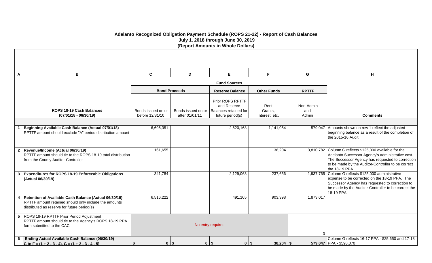# **Adelanto Recognized Obligation Payment Schedule (ROPS 21-22) - Report of Cash Balances July 1, 2018 through June 30, 2019 (Report Amounts in Whole Dollars)**

| $\mathbf{A}$ | $\mathbf B$                                                                                                                                                       | $\mathbf{C}$                          | D                                    | E.                                                                           | F.                                 | G                         | H                                                                                                                                                                                                                                       |
|--------------|-------------------------------------------------------------------------------------------------------------------------------------------------------------------|---------------------------------------|--------------------------------------|------------------------------------------------------------------------------|------------------------------------|---------------------------|-----------------------------------------------------------------------------------------------------------------------------------------------------------------------------------------------------------------------------------------|
|              |                                                                                                                                                                   |                                       |                                      | <b>Fund Sources</b>                                                          |                                    |                           |                                                                                                                                                                                                                                         |
|              |                                                                                                                                                                   |                                       | <b>Bond Proceeds</b>                 | <b>Reserve Balance</b>                                                       | <b>Other Funds</b>                 | <b>RPTTF</b>              |                                                                                                                                                                                                                                         |
|              | ROPS 18-19 Cash Balances<br>$(07/01/18 - 06/30/19)$                                                                                                               | Bonds issued on or<br>before 12/31/10 | Bonds issued on or<br>after 01/01/11 | Prior ROPS RPTTF<br>and Reserve<br>Balances retained for<br>future period(s) | Rent,<br>Grants,<br>Interest, etc. | Non-Admin<br>and<br>Admin | <b>Comments</b>                                                                                                                                                                                                                         |
|              |                                                                                                                                                                   |                                       |                                      |                                                                              |                                    |                           |                                                                                                                                                                                                                                         |
|              | Beginning Available Cash Balance (Actual 07/01/18)<br>RPTTF amount should exclude "A" period distribution amount                                                  | 6,696,351                             |                                      | 2,620,168                                                                    | 1,141,054                          |                           | 579,047 Amounts shown on row 1 reflect the adjusted<br>beginning balance as a result of the completion of<br>the 2015-16 Audit.                                                                                                         |
|              | 2 Revenue/Income (Actual 06/30/19)<br>RPTTF amount should tie to the ROPS 18-19 total distribution<br>from the County Auditor-Controller                          | 161,655                               |                                      |                                                                              | 38,204                             |                           | 3,810,782 Column G reflects \$125,000 available for the<br>Adelanto Successor Agency's administrative cost.<br>The Successor Agency has requested to correction<br>to be made by the Auditor-Controller to be correct<br>the 18-19 PPA. |
|              | 3 Expenditures for ROPS 18-19 Enforceable Obligations<br>(Actual 06/30/19)                                                                                        | 341,784                               |                                      | 2,129,063                                                                    | 237,656                            |                           | 1,937,765 Column G reflects \$125,000 administrative<br>expense to be corrected on the 18-19 PPA. The<br>Successor Agency has requested to correction to<br>be made by the Auditor-Controller to be correct the<br>18-19 PPA.           |
|              | 4   Retention of Available Cash Balance (Actual 06/30/19)<br>RPTTF amount retained should only include the amounts<br>distributed as reserve for future period(s) | 6,516,222                             |                                      | 491,105                                                                      | 903,398                            | 1,873,017                 |                                                                                                                                                                                                                                         |
|              | 5 ROPS 18-19 RPTTF Prior Period Adjustment<br>RPTTF amount should tie to the Agency's ROPS 18-19 PPA<br>form submitted to the CAC                                 |                                       |                                      | No entry required                                                            |                                    |                           |                                                                                                                                                                                                                                         |
| 6            | Ending Actual Available Cash Balance (06/30/19)<br>C to F = $(1 + 2 - 3 - 4)$ , G = $(1 + 2 - 3 - 4 - 5)$                                                         | $0$   \$                              | $\mathbf 0$                          | $\vert$ \$<br>$0$   \$                                                       | $38,204$ \\$                       |                           | Column G reflects 16-17 PPA - \$25,650 and 17-18<br>579,047 PPA - \$598,070                                                                                                                                                             |